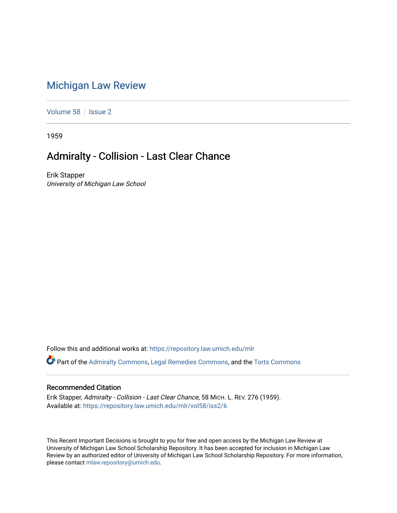## [Michigan Law Review](https://repository.law.umich.edu/mlr)

[Volume 58](https://repository.law.umich.edu/mlr/vol58) | [Issue 2](https://repository.law.umich.edu/mlr/vol58/iss2)

1959

## Admiralty - Collision - Last Clear Chance

Erik Stapper University of Michigan Law School

Follow this and additional works at: [https://repository.law.umich.edu/mlr](https://repository.law.umich.edu/mlr?utm_source=repository.law.umich.edu%2Fmlr%2Fvol58%2Fiss2%2F6&utm_medium=PDF&utm_campaign=PDFCoverPages) 

Part of the [Admiralty Commons](http://network.bepress.com/hgg/discipline/580?utm_source=repository.law.umich.edu%2Fmlr%2Fvol58%2Fiss2%2F6&utm_medium=PDF&utm_campaign=PDFCoverPages), [Legal Remedies Commons,](http://network.bepress.com/hgg/discipline/618?utm_source=repository.law.umich.edu%2Fmlr%2Fvol58%2Fiss2%2F6&utm_medium=PDF&utm_campaign=PDFCoverPages) and the [Torts Commons](http://network.bepress.com/hgg/discipline/913?utm_source=repository.law.umich.edu%2Fmlr%2Fvol58%2Fiss2%2F6&utm_medium=PDF&utm_campaign=PDFCoverPages) 

## Recommended Citation

Erik Stapper, Admiralty - Collision - Last Clear Chance, 58 MICH. L. REV. 276 (1959). Available at: [https://repository.law.umich.edu/mlr/vol58/iss2/6](https://repository.law.umich.edu/mlr/vol58/iss2/6?utm_source=repository.law.umich.edu%2Fmlr%2Fvol58%2Fiss2%2F6&utm_medium=PDF&utm_campaign=PDFCoverPages)

This Recent Important Decisions is brought to you for free and open access by the Michigan Law Review at University of Michigan Law School Scholarship Repository. It has been accepted for inclusion in Michigan Law Review by an authorized editor of University of Michigan Law School Scholarship Repository. For more information, please contact [mlaw.repository@umich.edu.](mailto:mlaw.repository@umich.edu)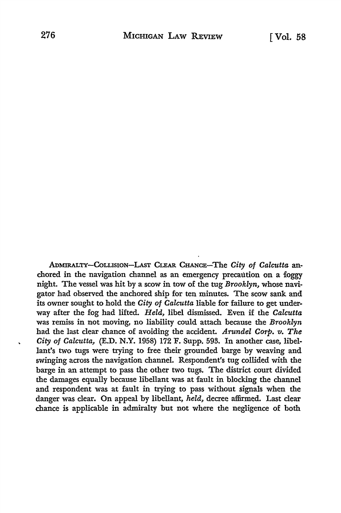ADMIRALTY-COLLISION-LAST CLEAR CHANCE-The *City of Calcutta* anchored in the navigation channel as an emergency precaution on a foggy night. The vessel was hit by a scow in tow of the tug *Brooklyn,* whose navigator had observed the anchored ship for ten minutes. The scow sank and its owner sought to hold the *City of Calcutta* liable for failure to get underway after the fog had lifted. *Held,* libel dismissed. Even if the *Calcutta*  was remiss in not moving, no liability could attach because the *Brooklyn*  had the last clear chance of avoiding the accident. *Arundel Corp. v. The City of Calcutta,* (E.D. N.Y. 1958) 172 F. Supp. 593. In another case, libellant's two tugs were trying to free their grounded barge by weaving and swinging across the navigation channel. Respondent's tug collided with the barge in an attempt to pass the other two tugs. The district court divided the damages equally because libellant was at fault in blocking the channel and respondent was at fault in trying to pass without signals when the danger was clear. On appeal by libellant, *held,* decree affirmed. Last clear chance is applicable in admiralty but not where the negligence of both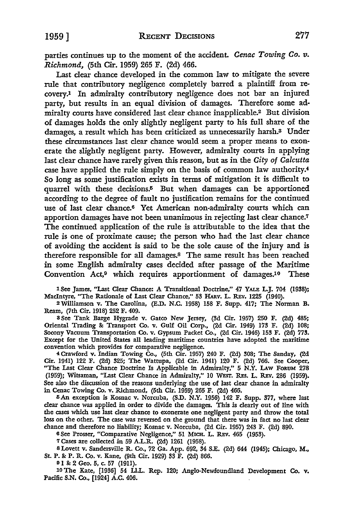parties continues up to the moment of the accident. *Cenac Towing Co. v. Richmond,* (5th Cir. 1959) 265 F. (2d) 466.

Last clear chance developed in the common law to mitigate the severe rule that contributory negligence completely barred a plaintiff from recovery.1 In admiralty contributory negligence does not bar an injured *party,* but results in an equal division of damages. Therefore some admiralty courts have considered last clear chance inapplicable.2 But division of damages holds the only slightly negligent party to his full share of the damages, a result which has been criticized as unnecessarily harsh.3 Under these circumstances last clear chance would seem a proper means to exonerate the slightly negligent party. However, admiralty courts in applying last clear chance have rarely given this reason, but as in the *City of Calcutta*  case have applied the rule simply on the basis of common law authority.<sup>4</sup> *So* long as some justification exists in terms of mitigation it is difficult to quarrel with these decisions.<sup>5</sup> But when damages can be apportioned according to the degree of fault no justification remains for the continued use of last clear chance.6 Yet American non-admiralty courts which can apportion damages have not been unanimous in rejecting last clear chance.<sup>7</sup> The continued application of the rule is attributable to the idea that the rule is one of proximate cause; the person who had the last clear chance of avoiding the accident is said to be the sole cause of the injury and is therefore responsible for all damages.8 The same result has been reached in some English admiralty cases decided after passage of the Maritime Convention Act,9 which requires apportionment of damages.10 These

1 See James, "Last Clear Chance: A Transitional Doctrine," 47 YALE L.J. 704 (1938); MacIntyre, "The Rationale of Last Clear Chance," 53 HARV. L. REV. 1225 (1940).

2Williamson v. The Carolina, (E.D. N.C. 1958) 158 F. Supp. 417; The Norman B. Ream, (7th Cir. 1918) 252 F. 409.

8 See Tank Barge Hygrade v. Gatco New Jersey, (3d Cir. 1957) 250 F. (2d) 485; Oriental Trading &: Transport Co. v. Gulf Oil Corp., (2d Cir. 1949) 173 F. (2d) 108; Socony Vacuum Transportation Co. v. Gypsum Packet Co., (2d Cir. 1946) 153 F. (2d) 773. Except for the United States all leading maritime countries have adopted the maritime convention which provides for comparative negligence.

<sup>4</sup>Crawford v. Indian Towing Co., (5th Cir. 1957) 240 F. (2d) 308; The Sanday, (2d Cir. 1941) 122 F. (2d) 325; The Wattupa, (2d Cir. 1941) 120 F. (2d) 766. See Cooper, "The Last Clear Chance Doctrine Is Applicable in Admiralty," 5 N.Y. LAW FORUM 278 (1959); Witsaman, "Last Clear Chance in Admiralty," 10 WEST. RES. L. REV. 286 (1959). See also the discussion of the reasons underlying the use of last clear chance in admiralty in Cenac Towing Co. v. Richmond, (5th Cir. 1959) 265 F. (2d) 466.

5 An exception is Kosnac v. Norcuba, (S.D. N.Y. 1956) 142 F. Supp. 377, where last clear chance was applied in order to divide the damages. This is clearly out of line with the cases which use last clear chance to exonerate one negligent party and throw the total loss on the other. The case was reversed on the ground that there was in fact no last clear chance and therefore no liability; Kosnac v. Norcuba, (2d Cir. 1957) 243 F. (2d) 890.

6 See Prosser, "Comparative Negligence," 51 MICH. L. REV. 465 (1953).

<sup>7</sup>Cases are collected *in* 59 A.L.R. (2d) 1261 (1958).

8 Lovett v. Sandersville R. Co., 72 Ga. App. 692, 34 S.E. (2d) 644 (1945); Chicago, M., St. P. &: P.R. Co. v. Kane, (9th Cir. 1929) 33 F. (2d) 866.

9 I & 2 Geo. 5, c. 57 (1911).<br>10 The Kate, [1936] 54 Ll.L. Rep. 120; Anglo-Newfoundland Development Co. v. Pacific S.N. Co., [1924] A.C. 406.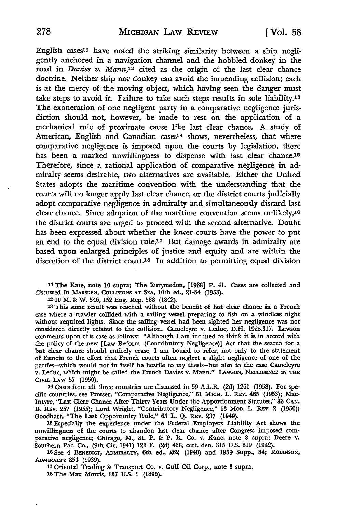English cases11 have noted the striking similarity between a ship negligently anchored in a navigation channel and the hobbled donkey in the road in *Davies v. Mann*,<sup>12</sup> cited as the origin of the last clear chance doctrine. Neither ship nor donkey can avoid the impending collision; each is at the mercy of the moving object, which having seen the danger must take steps to avoid it. Failure to take such steps results in sole liability.13 The exoneration of one negligent party in a comparative negligence jurisdiction should not, however, be made to rest on the application of a mechanical rule of proximate cause like last clear chance. A study of American, English and Canadian cases<sup>14</sup> shows, nevertheless, that where comparative negligence is imposed upon the courts by legislation, there has been a marked unwillingness to dispense with last clear chance.<sup>15</sup> Therefore, since a rational application of comparative negligence in admiralty seems desirable, two alternatives are available. Either the United States adopts the maritime convention with the understanding that the courts will no longer apply last clear chance, or the district courts judicially adopt comparative negligence in admiralty and simultaneously discard last clear chance. Since adoption of the maritime convention seems unlikely,16 the district courts are urged to proceed with the second alternative. Doubt has been expressed about whether the lower courts have the power to put an end to the equal division rule.17 But damage awards in admiralty are based upon enlarged principles of justice and equity and are within the discretion of the district court.18 In addition to permitting equal division

11 The Kate, note IO supra; The Eurymedon, [1938] P. 41. Cases are collected and discussed in MARSDEN, COLLISIONS AT SEA, 10th ed., 21-34 (1953).

12 10 M. &: W. 546, 152 Eng. Rep. 588 (1842).

13 This same result was reached without the benefit of last clear chance in a French case where a trawler collided with a sailing vessel preparing to fish on a windless night without required lights. Since the sailing vessel had been sighted her negligence was not considered directly related to the collision. Cameleyre v. Leduc, D.H. 1928.317. Lawson comments upon this case as follows: "Although I am inclined to think it is in accord with the policy of the new [Law Reform (Contributory Negligence)] Act that the search for a last clear chance should entirely cease, I am bound to refer, not only to the statement of Esmein to the effect that French courts often neglect a slight negligence of one of the parties-which would not in itself be hostile to my thesis-but also to the case Cameleyre v. Leduc, which might be called the French Davies v. Mann." LAWSON, NEGLIGENCE IN THE CIVIL LAW 57 (1950).

14 Cases from all three countries are discussed in 59 A.L.R. (2d) 1261 (1958). For specific countries, see Prosser, "Comparative Negligence," 51 MICH. L. REv. 465 (1953); Mac-Intyre, "Last Clear Chance After Thirty Years Under the Apportionment Statutes," 33 CAN. B. REv. 257 (1955); Lord Wright, "Contributory Negligence," 13 MoD. L. REY. 2 (1950); Goodhart, "The Last Opportunity Rule," 65 L. Q. REv. 237 (1949).

15 Especially the experience under the Federal Employers Liability Act shows the unwillingness of the courts to abandon last clear chance after Congress imposed comparative negligence; Chicago, M., St. P. &: P. R. Co. v. Kane, note 8 supra; Deere v. Southern Pac. Co., (9th Cir. 1941) 123 F. (2d) 438, cert. den. 315 US. 819 (1942).

16 See 4 BENEDICT, ADMIRALTY, 6th ed., 262 (1940) and 1959 Supp.. 84; ROBINSON, ADMIRALTY 854 (1939).

17 Oriental Trading &: Transport Co. v. Gulf Oil Corp., note 3 supra. lSThe Max Morris, 137 US. I (1890).